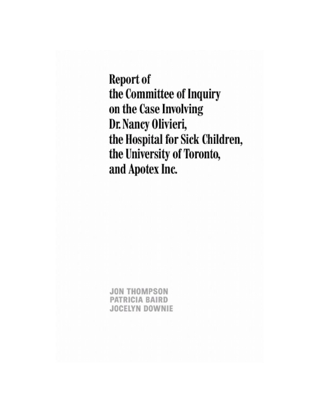**JON THOMPSON** PATRICIA BAIRD **JOCELYN DOWNIE**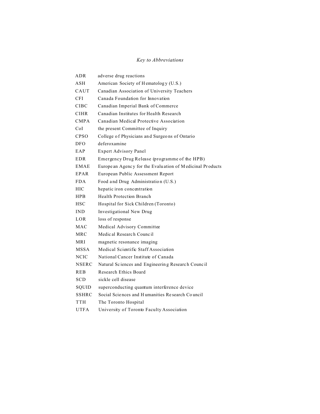# *Key to Abbreviations*

| ADR.         | adverse drug reactions                                    |
|--------------|-----------------------------------------------------------|
| ASH          | American Society of Hematology (U.S.)                     |
| CAUT         | Canadian Association of University Teachers               |
| CFI          | Canada Foundation for Innovation                          |
| <b>CIBC</b>  | Canadian Imperial Bank of Commerce                        |
| <b>CIHR</b>  | Canadian Institutes for Health Research                   |
| <b>CMPA</b>  | Canadian Medical Protective Association                   |
| CoL          | the present Committee of Inquiry                          |
| <b>CPSO</b>  | College of Physicians and Surgeons of Ontario             |
| DFO          | deferoxamine                                              |
| EAP          | Expert Advisory Panel                                     |
| EDR          | Emergency Drug Release (programme of the HPB)             |
| EMAE         | Europe an Agency for the Evaluation of Medicinal Products |
| EPAR         | European Public Assessment Report                         |
| <b>FDA</b>   | Food and Drug Administration (U.S.)                       |
| HІC          | hepatic iron concentration                                |
| <b>HPR</b>   | Health Protection Branch                                  |
| <b>HSC</b>   | Hospital for Sick Children (Toronto)                      |
| <b>IND</b>   | Investigational New Drug                                  |
| LOR          | loss of response                                          |
| MAC          | Medical Advisory Committee                                |
| <b>MRC</b>   | Medical Research Council                                  |
| <b>MRI</b>   | magnetic resonance imaging                                |
| <b>MSSA</b>  | Medical Scientific Staff Association                      |
| <b>NCIC</b>  | National Cancer Institute of Canada                       |
| <b>NSERC</b> | Natural Sciences and Engineering Research Council         |
| <b>REB</b>   | Research Ethics Board                                     |
| SCD          | sickle cell disease                                       |
| SQUID        | superconducting quantum interference device               |
| SSHRC        | Social Sciences and Humanities Research Council           |
| TTH          | The Toronto Hospital                                      |
| <b>UTFA</b>  | University of Toronto Faculty Association                 |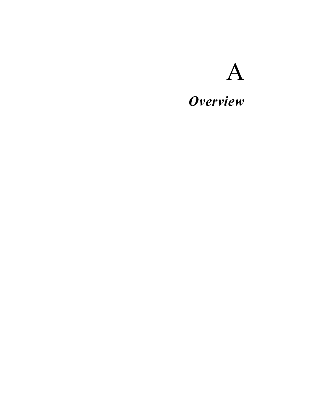# A

# *Overview*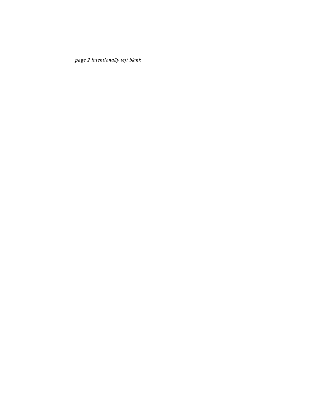*page 2 intentionally left blank*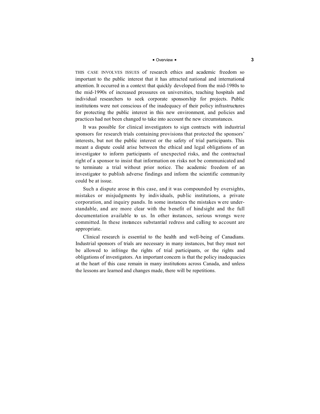## ■ Overview ■ 3

THIS CASE INVOLVES ISSUES of research ethics and academic freedom so important to the public interest that it has attracted national and international attention. It occurred in a context that quickly developed from the mid-1980s to the mid-1990s of increased pressures on universities, teaching hospitals and individual researchers to seek corporate sponsorship for projects. Public institutions were not conscious of the inadequacy of their policy infrastructures for protecting the public interest in this new environment, and policies and practices had not been changed to take into account the new circumstances.

It was possible for clinical investigators to sign contracts with industrial sponsors for research trials containing provisions that protected the sponsors' interests, but not the public interest or the safety of trial participants. This meant a dispute could arise between the ethical and legal obligations of an investigator to inform participants of unexpected risks, and the contractual right of a sponsor to insist that information on risks not be communicated and to terminate a trial without prior notice. The academic freedom of an investigator to publish adverse findings and inform the scientific community could be at issue.

Such a dispute arose in this case, and it was compounded by oversights, mistakes or misjudgments by individuals, public institutions, a private corporation, and inquiry panels. In some instances the mistakes were understandable, and are more clear with the benefit of hind sight and the full documentation available to us. In other instances, serious wrongs we re committed. In these instances substantial redress and calling to account are appropriate.

Clinical research is essential to the health and well-being of Canadians. Industrial sponsors of trials are necessary in many instances, but they must not be allowed to infringe the rights of trial participants, or the rights and obligations of investigators. An important concern is that the policy inadequacies at the heart of this case remain in many institutions across Canada, and unless the lessons are learned and changes made, there will be repetitions.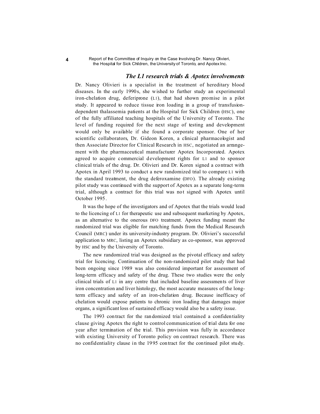# *The L1 research trials & Apotex involvements*

Dr. Nancy Olivieri is a specialist in the treatment of hereditary blood diseases. In the early 1990s, she wished to further study an experimental iron-chelation drug, deferiprone (L1), that had shown promise in a pilot study. It appeared to reduce tissue iron loading in a group of transfusiondependent thalassemia patients at the Hospital for Sick Children (HSC), one of the fully affiliated teaching hospitals of the University of Toronto. The level of funding required for the next stage of testing and development would only be available if she found a corporate sponsor. One of her scientific collaborators, Dr. Gideon Koren, a clinical pharmacologist and then Associate Director for Clinical Research in HSC, negotiated an arrangement with the pharmaceutical manufacturer Apotex Incorporated. Apotex agreed to acquire commercial development rights for L1 and to sponsor clinical trials of the drug. Dr. Olivieri and Dr. Koren signed a contract with Apotex in April 1993 to conduct a new randomized trial to compare L1 with the standard treatment, the drug deferoxamine (DFO). The already existing pilot study was continued with the support of Apotex as a separate long-term trial, although a contract for this trial was not signed with Apotex until October 1995 .

It was the hope of the investigators and of Apotex that the trials would lead to the licencing of L1 for therapeutic use and subsequent marketing by Apotex, as an alternative to the onerous DFO treatment. Apotex funding meant the randomized trial was eligible for matching funds from the Medical Research Council (MRC) under its university-industry program. Dr. Olivieri's successful application to MRC, listing an Apotex subsidiary as co-sponsor, was approved by HSC and by the University of Toronto.

The new randomized trial was designed as the pivotal efficacy and safety trial for licencing. Continuation of the non-randomized pilot study that had been ongoing since 1989 was also considered important for assessment of long-term efficacy and safety of the drug. These two studies were the only clinical trials of L1 in any centre that included baseline assessments of liver iron concentration and liver histology, the most accurate measures of the longterm efficacy and safety of an iron-chelation drug. Because inefficacy of chelation would expose patients to chronic iron loading that damages major organs, a significant loss of sustained efficacy would also be a safety issue.

The 1993 contract for the randomized trial contained a confidentiality clause giving Apotex the right to control communication of trial data for one year after termination of the trial. This provision was fully in accordance with existing University of Toronto policy on contract research. There was no confidentiality clause in the 1995 contract for the continued pilot study.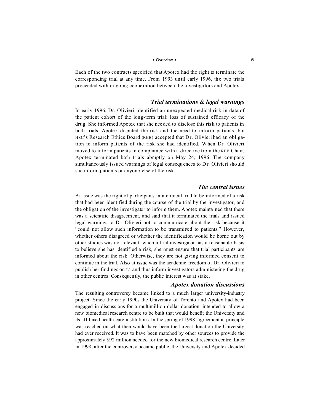# ■ Overview ■ **5**

Each of the two contracts specified that Apotex had the right to terminate the corresponding trial at any time. From 1993 until early 1996, the two trials proceeded with ongoing coope ration between the investiga tors and Apotex.

# *Trial terminations & legal warnings*

In early 1996, Dr. Olivieri identified an unexpected medical risk in data of the patient cohort of the long-term trial: loss of sustained efficacy of the drug. She informed Apotex that she needed to disclose this risk to patients in both trials. Apotex disputed the risk and the need to inform patients, but HSC's Research Ethics Board (REB) accepted that Dr. Olivieri had an obligation to inform patients of the risk she had identified. When Dr. Olivieri moved to inform patients in compliance with a directive from the REB Chair, Apotex terminated both trials abruptly on May 24, 1996. The company simultaneously issued warnings of legal consequ ences to Dr. Olivieri should she inform patients or anyone else of the risk.

# *The central issues*

At issue was the right of participants in a clinical trial to be informed of a risk that had been identified during the course of the trial by the investigator, and the obligation of the investigator to inform them. Apotex maintained that there was a scientific disagreement, and said that it terminated the trials and issued legal warnings to Dr. Olivieri not to communicate about the risk because it "could not allow such information to be transmitted to patients." However, whether others disagreed or whether the identification would be borne out by other studies was not relevant: when a trial investigator has a reasonable basis to believe she has identified a risk, she must ensure that trial participants are informed about the risk. Otherwise, they are not giving informed consent to continue in the trial. Also at issue was the academic freedom of Dr. Olivieri to publish her findings on L1 and thus inform investigators administering the drug in other centres. Consequently, the public interest was at stake.

# *Apotex donation discussions*

The resulting controversy became linked to a much larger university-industry project. Since the early 1990s the University of Toronto and Apotex had been engaged in discussions for a multimillion-dollar donation, intended to allow a new biomedical research centre to be built that would benefit the University and its affiliated health care institutions. In the spring of 1998, agreement in principle was reached on what then would have been the largest donation the University had ever received. It was to have been matched by other sources to provide the approximately \$92 million needed for the new biomedical research centre. Later in 1998, after the controversy became public, the University and Apotex decided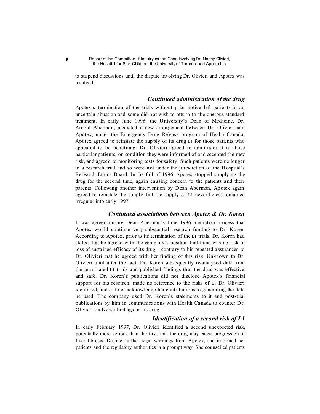to suspend discussions until the dispute involving Dr. Olivieri and Apotex was resolved.

# *Continued administration of the drug*

Apotex's termination of the trials without prior notice left patients in an uncertain situation and some did not wish to return to the onerous standard treatment. In early June 1996, the University's Dean of Medicine, Dr. Arnold Aberman, mediated a new arran gement be tween Dr. Olivieri and Apotex, under the Emergency Drug Release program of Health Canada. Apotex agreed to reinstate the sup ply of its drug L1 for those patients who appeared to be benefiting. Dr. Olivieri agreed to administer it to those particular patients, on condition they were informed of and accepted the new risk, and agreed to monitoring tests for safety. Such patients were no longer in a research trial and so were not under the jurisdiction of the Hospital's Research Ethics Board. In the fall of 1996, Apotex stopped supplying the drug for the second time, again causing concern to the patients and their parents. Following another inte rvention by Dean Abe rman, Apotex again agreed to reinstate the supply, but the supply of L1 nevertheless remained irregular into early 1997.

# *Continued associations between Apotex & Dr. Koren*

It was agreed during Dean Aberman's June 1996 mediation process that Apotex would continue very substantial research funding to Dr. Koren. According to Apotex, prior to its termination of the L1 trials, Dr. Koren had stated that he agreed with the company's position that there was no risk of loss of susta ined efficacy of its drug—contrary to his repeated a ssurances to Dr. Olivieri that he agreed with her finding of this risk. Unknown to Dr. Olivieri until after the fact, Dr. Koren subsequently re-analysed data from the terminated L1 trials and published findings that the drug was effective and safe. Dr. Koren's publications did not disclose Apotex's financial support for his research, made no reference to the risks of L1 Dr. Olivieri identified, and did not acknowledge her contributions to generating the data he used. The company used Dr. Koren's statements to it and post-trial publications by him in communications with Health Canada to counter Dr. Olivieri's adverse findings on its drug.

# *Identification of a second risk of L1*

In early February 1997, Dr. Olivieri identified a second unexpected risk, potentially more serious than the first, that the drug may cause progression of liver fibrosis. Despite further legal warnings from Apotex, she informed her patients and the regulatory authorities in a prompt way. She counselled patients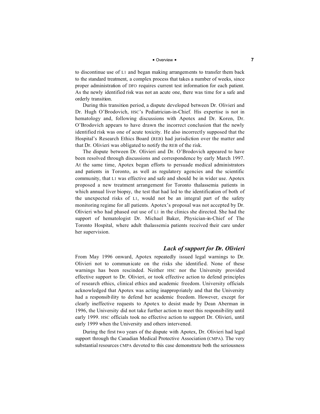# ■ Overview ■ **7**

to discontinue use of L1 and began making arrangements to transfer them back to the standard treatment, a complex process that takes a number of weeks, since proper administration of DFO requires current test information for each patient. As the newly identified risk was not an acute one, there was time for a safe and orderly transition.

During this transition period, a dispute developed between Dr. Olivieri and Dr. Hugh O'Brodovich, HSC's Pediatrician-in-Chief. His expertise is not in hematology and, following discussions with Apotex and Dr. Koren, Dr. O'Brodovich appears to have drawn the incorrect conclusion that the newly identified risk was one of acute toxicity. He also incorrectly supposed that the Hospital's Research Ethics Board (REB) had jurisdiction over the matter and that Dr. Olivieri was obligated to notify the REB of the risk.

The dispute between Dr. Olivieri and Dr. O'Brodovich appeared to have been resolved through discussions and correspondence by early March 1997. At the same time, Apotex began efforts to persuade medical administrators and patients in Toronto, as well as regulatory agencies and the scientific community, that L1 was effective and safe and should be in wider use. Apotex proposed a new treatment arrangement for Toronto thalassemia patients in which annual liver biopsy, the test that had led to the identification of both of the unexpected risks of L1, would not be an integral part of the safety monitoring regime for all patients. Apotex's proposal was not accepted by Dr. Olivieri who had phased out use of L1 in the clinics she directed. She had the support of hematologist Dr. Michael Baker, Physician-in-Chief of The Toronto Hospital, where adult thalassemia patients received their care under her supervision.

# *Lack of support for Dr. Olivieri*

From May 1996 onward, Apotex repeatedly issued legal warnings to Dr. Olivieri not to communicate on the risks she identified. None of these warnings has been rescinded. Neither HSC nor the University provided effective support to Dr. Olivieri, or took effective action to defend principles of research ethics, clinical ethics and academic freedom. University officials acknowledged that Apotex was acting inappropriately and that the University had a responsibility to defend her academic freedom. However, except for clearly ineffective requests to Apotex to desist made by Dean Aberman in 1996, the University did not take further action to meet this responsibility until early 1999. HSC officials took no effective action to support Dr. Olivieri, until early 1999 when the University and others intervened.

During the first two years of the dispute with Apotex, Dr. Olivieri had legal support through the Canadian Medical Protective Association (CMPA). The very substantial resources CMPA devoted to this case demonstrate both the seriousness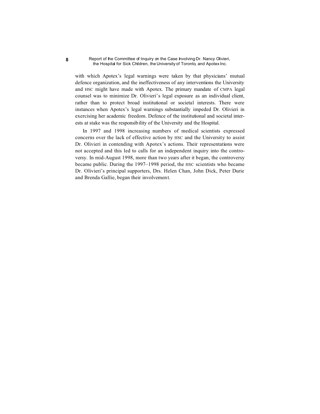with which Apotex's legal warnings were taken by that physicians' mutual defence organization, and the ineffectiveness of any interventions the University and HSC might have made with Apotex. The primary mandate of CMPA legal counsel was to minimize Dr. Olivieri's legal exposure as an individual client, rather than to protect broad institutional or societal interests. There were instances when Apotex's legal warnings substantially impeded Dr. Olivieri in exercising her academic freedom. Defence of the institutional and societal interests at stake was the responsibility of the University and the Hospital.

In 1997 and 1998 increasing numbers of medical scientists expressed concerns over the lack of effective action by HSC and the University to assist Dr. Olivieri in contending with Apotex's actions. Their representations were not accepted and this led to calls for an independent inquiry into the controversy. In mid-August 1998, more than two years after it began, the controversy became public. During the 1997–1998 period, the HSC scientists who became Dr. Olivieri's principal supporters, Drs. Helen Chan, John Dick, Peter Durie and Brenda Gallie, began their involvement.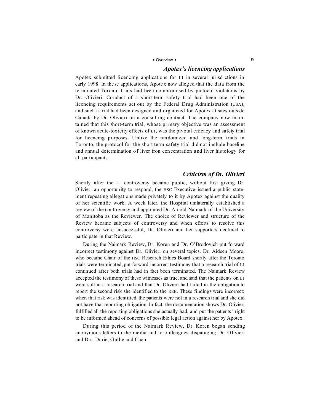#### **P** Overview **P 9**

# *Apotex's licencing applications*

Apotex submitted licencing applications for L1 in several jurisd ictions in early 1998. In the se applications, Apotex now alleg ed that the data from the terminated Toronto trials had been compromised by protocol violations by Dr. Olivieri. Conduct of a short-term safety trial had been one of the licencing requirements set out by the Federal Drug Administration (USA), and such a trial had been designed and organized for Apotex at sites outside Canada by Dr. Olivieri on a consulting contract. The company now maintained that this short-term trial, whose primary objective was an assessment of known acute-toxicity effects of L1, was the pivotal efficacy and safety trial for licencing purposes. Unlike the randomized and long-term trials in Toronto, the protocol for the short-term safety trial did not include baseline and annual determination of liver iron concentration and liver histology for all participants.

# *Criticism of Dr. Olivieri*

Shortly after the L1 controversy became public, without first giving Dr. Olivieri an opportunity to respond, the HSC Executive issued a public statement repeating allegations made privately to it by Apotex against the quality of her scientific work. A week later, the Hospital unilaterally established a review of the controversy and appointed Dr. Arnold Naimark of the University of Manitoba as the Reviewer. The choice of Reviewer and structure of the Review became subjects of controversy and when efforts to resolve this controversy were unsuccessful, Dr. Olivieri and her supporters declined to participate in that Review.

During the Naimark Review, Dr. Koren and Dr. O'Brodovich put forward incorrect testimony against Dr. Olivieri on several topics. Dr. Aideen Moore, who became Chair of the HSC Research Ethics Board shortly after the Toronto trials were terminated, put forward incorrect testimony that a research trial of L1 continued after both trials had in fact been terminated. The Naimark Review accepted the testimony of these witnesses as true, and said that the patients on L1 were still in a research trial and that Dr. Olivieri had failed in the obligation to report the second risk she identified to the REB. These findings were incorrect: when that risk was identified, the patients were not in a research trial and she did not have that reporting obligation. In fact, the documentation shows Dr. Olivieri fulfilled all the reporting obligations she actually had, and put the patients' right to be informed ahead of concerns of possible legal action against her by Apotex.

During this period of the Naimark Review, Dr. Koren began sending anonymous letters to the media and to colleagues disparaging Dr. Olivieri and Drs. Durie, Gallie and Chan.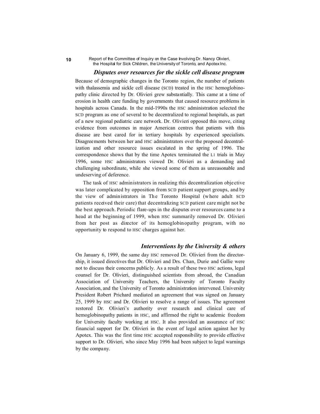# *Disputes over resources for the sickle cell disease program*

Because of demographic changes in the Toronto region, the number of patients with thalassemia and sickle cell disease (SCD) treated in the HSC hemoglobinopathy clinic directed by Dr. Olivieri grew substantially. This came at a time of erosion in health care funding by governments that caused resource problems in hospitals across Canada. In the mid-1990s the HSC administration selected the SCD program as one of several to be decentralized to regional hospitals, as part of a new regional pediatric care network. Dr. Olivieri opposed this move, citing evidence from outcomes in major American centres that patients with this disease are best cared for in tertiary hospitals by experienced specialists. Disagreements between her and HSC administrators over the proposed decentralization and other resource issues escalated in the spring of 1996. The correspondence shows that by the time Apotex terminated the L1 trials in May 1996, some HSC administrators viewed Dr. Olivieri as a demanding and challenging subordinate, while she viewed some of them as unreasonable and undeserving of deference.

The task of HSC administrators in realizing this decentralization obje ctive was later complicated by opposition from SCD patient support groups, and by the view of administrators in The Toronto Hospital (where adult SCD patients received their care) that decentralizing SCD patient care might not be the best approach. Periodic flare-ups in the disputes over resources came to a head at the beginning of 1999, when HSC summarily removed Dr. Olivieri from her post as director of its hemoglobinopathy program, with no opportunity to respond to HSC charges against her.

# *Interventions by the University & others*

On January 6, 1999, the same day HSC removed Dr. Olivieri from the directorship, it issued directives that Dr. Olivieri and Drs. Chan, Durie and Gallie were not to discuss their concerns publicly. As a result of these two HSC actions, legal counsel for Dr. Olivieri, distinguished scientists from abroad, the Canadian Association of University Teachers, the University of Toronto Faculty Association, and the University of Toronto administration intervened. University President Robert Prichard mediated an agreement that was signed on January 25, 1999 by HSC and Dr. Olivieri to resolve a range of issues. The agreement restored Dr. Olivieri's authority over research and clinical care of hemoglobinopathy patients in HSC, and affirmed the right to academic freedom for University faculty working at HSC. It also provided an assurance of HSC financial support for Dr. Olivieri in the event of legal action against her by Apotex. This was the first time HSC accepted responsibility to provide effective support to Dr. Olivieri, who since May 1996 had been subject to legal warnings by the company.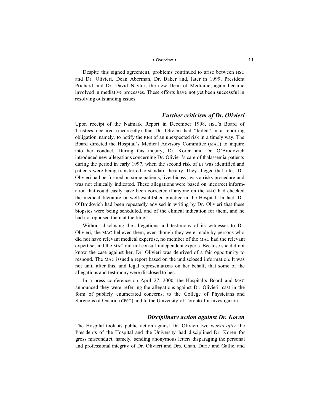# $\blacksquare$  Overview  $\blacksquare$

Despite this signed agreement, problems continued to arise between HSC and Dr. Olivieri. Dean Aberman, Dr. Baker and, later in 1999, President Prichard and Dr. David Naylor, the new Dean of Medicine, again became involved in mediative processes. These efforts have not yet been successful in resolving outstanding issues.

# *Further criticism of Dr. Olivieri*

Upon receipt of the Naimark Report in December 1998, HSC's Board of Trustees declared (incorrectly) that Dr. Olivieri had "failed" in a reporting obligation, namely, to notify the REB of an unexpected risk in a timely way. The Board directed the Hospital's Medical Advisory Committee (MAC) to inquire into her conduct. During this inquiry, Dr. Koren and Dr. O'Brodovich introduced new allegations concerning Dr. Olivieri's care of thalassemia patients during the period in early 1997, when the second risk of L1 was identified and patients were being transferred to standard therapy. They alleged that a test Dr. Olivieri had performed on some patients, liver biopsy, was a risky procedure and was not clinically indicated. These allegations were based on incorrect information that could easily have been corrected if anyone on the MAC had checked the medical literature or well-established practice in the Hospital. In fact, Dr. O'Brodovich had been repeatedly advised in writing by Dr. Olivieri that these biopsies were being scheduled, and of the clinical indication for them, and he had not opposed them at the time.

Without disclosing the allegations and testimony of its witnesses to Dr. Olivieri, the MAC believed them, even though they were made by persons who did not have relevant medical expertise, no member of the MAC had the relevant expertise, and the MAC did not consult independent experts. Because she did not know the case against her, Dr. Olivieri was deprived of a fair opportunity to respond. The MAC issued a report based on the undisclosed information. It was not until after this, and legal representations on her behalf, that some of the allegations and testimony were disclosed to her.

In a press conference on April 27, 2000, the Hospital's Board and MAC announced they were referring the allegations against Dr. Olivieri, cast in the form of publicly enumerated concerns, to the College of Physicians and Surgeons of Ontario (CPSO) and to the University of Toronto for investigation.

# *Disciplinary action against Dr. Koren*

The Hospital took its public action against Dr. Olivieri two weeks *after* the Presidents of the Hospital and the University had disciplined Dr. Koren for gross misconduct, namely, sending anonymous letters disparaging the personal and professional integrity of Dr. Olivieri and Drs. Chan, Durie and Gallie, and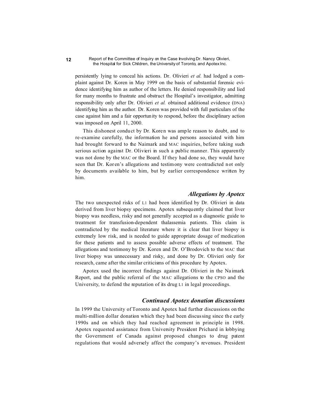persistently lying to conceal his actions. Dr. Olivieri *et al.* had lodged a complaint against Dr. Koren in May 1999 on the basis of substantial forensic evidence identifying him as author of the letters. He denied responsibility and lied for many months to frustrate and obstruct the Hospital's investigator, admitting responsibility only after Dr. Olivieri *et al.* obtained additional evidence (DNA) identifying him as the author. Dr. Koren was provided with full particulars of the case against him and a fair opportunity to respond, before the disciplinary action was imposed on April 11, 2000.

This dishonest conduct by Dr. Koren was ample reason to doubt, and to re-examine carefully, the information he and persons associated with him had brought forward to the Naimark and MAC inquiries, before taking such serious action against Dr. Olivieri in such a public manner. This apparently was not done by the MAC or the Board. If they had done so, they would have seen that Dr. Kor en's allegations and testimony were contradicted not only by documents available to him, but by earlier correspondence written by him.

# *Allegations by Apotex*

The two unexpected risks of L1 had been identified by Dr. Olivieri in data derived from liver biopsy specimens. Apotex subsequently claimed that liver biopsy was needless, risky and not generally accepted as a diagnostic guide to treatment for transfusion-dependent thalassemia patients. This claim is contradicted by the medical literature where it is clear that liver biopsy is extremely low risk, and is needed to guide appropriate dosage of medication for these patients and to assess possible adverse effects of treatment. The allegations and testimony by Dr. Koren and Dr. O'Brodovich to the MAC that liver biopsy was unnecessary and risky, and done by Dr. Olivieri only for research, came after the similar criticisms of this procedure by Apotex.

Apotex used the incorrect findings against Dr. Olivieri in the Naimark Report, and the public referral of the MAC allegations to the CPSO and the University, to defend the reputation of its drug L1 in legal proceedings.

# *Continued Apotex donation discussions*

In 1999 the University of Toronto and Apotex had further discussions on the multi-million dollar donation which they had been discussing since the early 1990s and on which they had reached agreement in principle in 1998. Apotex requested assistance from University President Prichard in lobbying the Government of Canada against proposed changes to drug patent regulations that would adversely affect the company's revenues. President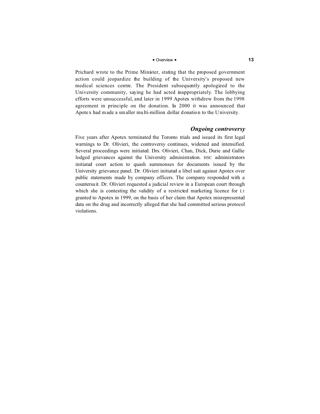# ■ Overview ■ **13**

Prichard wrote to the Prime Minister, stating that the proposed government action could jeopardize the building of the University's proposed new medical sciences centre. The President subsequently apologized to the University community, saying he had acted inappropriately. The lobbying efforts were unsuccessful, and later in 1999 Apotex withdrew from the 1998 agreement in principle on the donation. In 2000 it was announced that Apotex had made a smaller multi-million dollar donation to the University.

# *Ongoing controversy*

Five years after Apotex terminated the Toronto trials and issued its first legal warnings to Dr. Olivieri, the controversy continues, widened and intensified. Several proceedings were initiated. Drs. Olivieri, Chan, Dick, Durie and Gallie lodged grievances against the University administration. HSC administrators initiated court action to quash summonses for documents issued by the University grievance panel. Dr. Olivieri initiated a libel suit against Apotex over public statements made by company officers. The company responded with a countersuit. Dr. Olivieri requested a judicial review in a European court through which she is contesting the validity of a restricted marketing licence for L1 granted to Apotex in 1999, on the basis of her claim that Apotex misrepresented data on the drug and incorrectly alleged that she had committed serious protocol violations.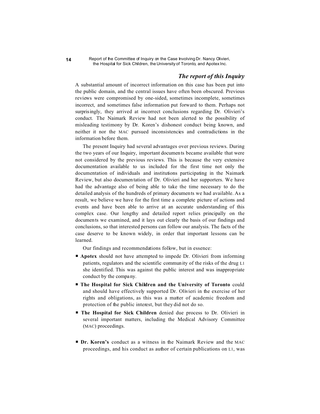# *The report of this Inquiry*

A substantial amount of incorrect information on this case has been put into the public domain, and the central issues have often been obscured. Previous reviews were compromised by one-sided, sometimes incomplete, sometimes incorrect, and sometimes false information put forward to them. Perhaps not surprisingly, they arrived at incorrect conclusions regarding Dr. Olivieri's conduct. The Naimark Review had not been alerted to the possibility of misleading testimony by Dr. Koren's dishonest conduct being known, and neither it nor the MAC pursued inconsistencies and contradictions in the information before them.

The present Inquiry had several advantages over previous reviews. During the two years of our Inquiry, important documents became available that were not considered by the previous reviews. This is because the very extensive documentation available to us included for the first time not only the documentation of individuals and institutions participating in the Naimark Review, but also documentation of Dr. Olivieri and her supporters. We have had the advantage also of being able to take the time necessary to do the detailed analysis of the hundreds of primary documents we had available. As a result, we believe we have for the first time a complete picture of actions and events and have been able to arrive at an accurate understanding of this complex case. Our lengthy and detailed report relies principally on the documents we examined, and it lays out clearly the basis of our findings and conclusions, so that interested persons can follow our analysis. The facts of the case deserve to be known widely, in order that important lessons can be learned.

Our findings and recommendations follow, but in essence:

- **Apotex** should not have attempted to impede Dr. Olivieri from informing patients, regulators and the scientific community of the risks of the drug L1 she identified. This was against the public interest and was inappropriate conduct by the company.
- P **The Hospital for Sick Children and the University of Toronto** could and should have effectively supported Dr. Olivieri in the exercise of her rights and obligations, as this was a matter of academic freedom and protection of the public interest, but they did not do so.
- P **The Hospital for Sick Children** denied due process to Dr. Olivieri in several important matters, including the Medical Advisory Committee (MAC) proceedings.
- **P Dr. Koren's** conduct as a witness in the Naimark Review and the MAC proceedings, and his conduct as author of certain publications on L1, was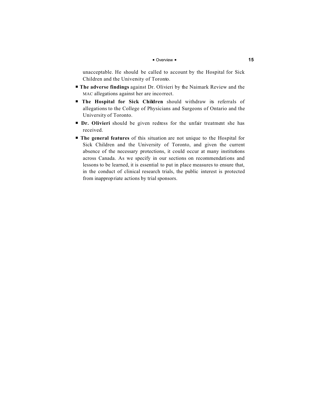# ■ Overview ■ **15**

unacceptable. He should be called to account by the Hospital for Sick Children and the University of Toronto.

- **The adverse findings** against Dr. Olivieri by the Naimark Review and the MAC allegations against her are incorrect.
- **The Hospital for Sick Children** should withdraw its referrals of allegations to the College of Physicians and Surgeons of Ontario and the University of Toronto.
- **P Dr. Olivieri** should be given redress for the unfair treatment she has received.
- P **The general features** of this situation are not unique to the Hospital for Sick Children and the University of Toronto, and given the current absence of the necessary protections, it could occur at many institutions across Canada. As we specify in our sections on recommendations and lessons to be learned, it is essential to put in place measures to ensure that, in the conduct of clinical research trials, the public interest is protected from inappropriate actions by trial sponsors.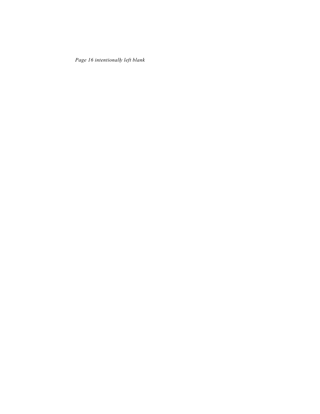*Page 16 intentionally left blank*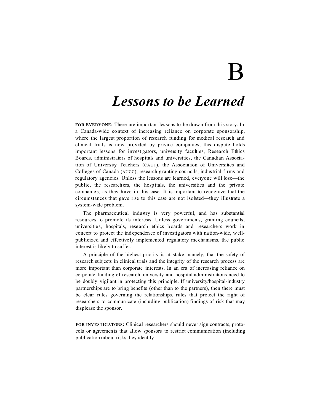# $\bf{B}$

# *Lessons to be Learned*

**FOR EVERYONE:** There are impo rtant lessons to be drawn from this story. In a Canada-wide context of increasing reliance on corporate sponsorship, where the largest proportion of research funding for medical research and clinical trials is now provided by private companies, this dispute holds important lessons for investigators, university faculties, Research Ethics Boards, administrators of hospitals and universities, the Canadian Association of University Teachers (CAUT), the Association of Universities and Colleges of Canada (AUCC), research granting cou ncils, industrial firms and regulatory agencies. Unless the lessons are learned, everyone will lose—the public, the research ers, the hosp itals, the unive rsities and the private companie s, as they have in this case. It is important to recognize that the circumstances that gave rise to this case are not isolated—they illustrate a system-wide problem.

The pharmaceutical industry is very powerful, and has substantial resources to promote its interests. Unless governments, granting councils, universities, hospitals, research ethics boards and researchers work in concert to protect the independen ce of investigators with na tion-wide, wellpublicized and effective ly implemented regulatory me chanisms, the public interest is likely to suffer.

A principle of the highest priority is at stake: namely, that the safety of research subjects in clinical trials and the integrity of the research process are more important than corporate interests. In an era of increasing reliance on corporate funding of research, university and hospital administrations need to be doubly vigilant in protecting this principle. If university/hospital-industry partnerships are to bring benefits (other than to the partners), then there must be clear rules governing the relationships, rules that protect the right of researchers to communicate (including publication) findings of risk that may displease the sponsor.

**FOR INVESTIGATORS:** Clinical researchers should never sign contracts, protocols or agreements that allow sponsors to restrict communication (including publication) about risks they identify.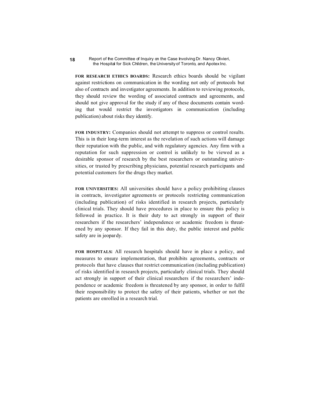**FOR RESEARCH ETHICS BOARDS:** Research ethics boards should be vigilant against restrictions on communication in the wording not only of protocols but also of contracts and investigator agreements. In addition to reviewing protocols, they should review the wording of associated contracts and agreements, and should not give approval for the study if any of these documents contain wording that would restrict the investigators in communication (including publication) about risks they identify.

**FOR INDUSTRY:** Companies should not attempt to suppress or control results. This is in their long-term interest as the revelation of such actions will damage their reputation with the public, and with regulatory agencies. Any firm with a reputation for such suppression or control is unlikely to be viewed as a desirable sponsor of research by the best researchers or outstanding universities, or trusted by prescribing physicians, potential research participants and potential customers for the drugs they market.

**FOR UNIVERSITIES:** All universities should have a policy prohibiting clauses in contracts, investigator agreements or protocols restricting communication (including publication) of risks identified in research projects, particularly clinical trials. They should have procedures in place to ensure this policy is followed in practice. It is their duty to act strongly in support of their researchers if the researchers' independence or academic freedom is threatened by any sponsor. If they fail in this duty, the public interest and public safety are in jeopardy.

**FOR HOSPITALS:** All research hospitals should have in place a policy, and measures to ensure implementation, that prohibits agreements, contracts or protocols that have clauses that restrict communication (including publication) of risks identified in research projects, particularly clinical trials. They should act strongly in support of their clinical researchers if the researchers' independence or academic freedom is threatened by any sponsor, in order to fulfil their responsibility to protect the safety of their patients, whether or not the patients are enrolled in a research trial.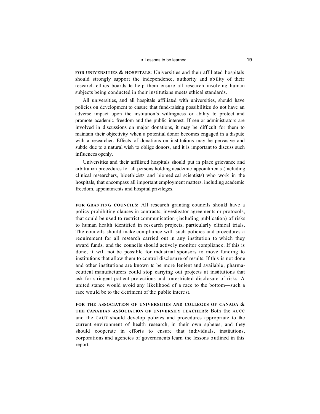# **P** Lessons to be learned **19**

**FOR UNIVERSITIES & HOSPITALS:** Universities and their affiliated hospitals should strongly support the independence, authority and ability of their research ethics boards to help them ensure all research involving human subjects being conducted in their institutions meets ethical standards.

All universities, and all hospitals affiliated with universities, should have policies on development to ensure that fund-raising possibilities do not have an adverse impact upon the institution's willingness or ability to protect and promote academic freedom and the public interest. If senior administrators are involved in discussions on major donations, it may be difficult for them to maintain their objectivity when a potential donor becomes engaged in a dispute with a researcher. Effects of donations on institutions may be pervasive and subtle due to a natural wish to oblige donors, and it is important to discuss such influences openly.

Universities and their affiliated hospitals should put in place grievance and arbitration procedures for all persons holding academic appointments (including clinical researchers, bioethicists and biomedical scientists) who work in the hospitals, that encompass all important employment matters, including academic freedom, appointments and hospital privileges.

**FOR GRANTING COUNCILS:** All research granting councils should have a policy prohibiting clauses in contracts, investigator agreements or protocols, that could be used to restrict communication (including publication) of risks to human health identified in res earch projects, particularly clinical trials. The councils should make compliance with such policies and procedures a requirement for all research carried out in any institution to which they award funds, and the counc ils should active ly monitor complianc e. If this is done, it will not be possible for industrial sponsors to move funding to institutions that allow them to control disclosure of results. If this is not done and other institutions are known to be more lenient and available, pharmaceutical manufacturers could stop carrying out projects at institutions that ask for stringent p atient protec tions and unrestricted disclosure of risks. A united stance would avoid any likelihood of a race to the bottom—such a race would be to the detriment of the public intere st.

**FOR THE ASSOCIATION OF UNIVERSITIES AND COLLEGES OF CANADA & THE CANADIAN ASSOCIATION OF UNIVERSITY TEACHERS:** Both the AUCC and the CAUT should develop policies and procedures appropriate to the current environment of health research, in their own spheres, and they should cooperate in efforts to ensure that individuals, institutions, corporations and agencies of governments learn the lessons o utlined in this report.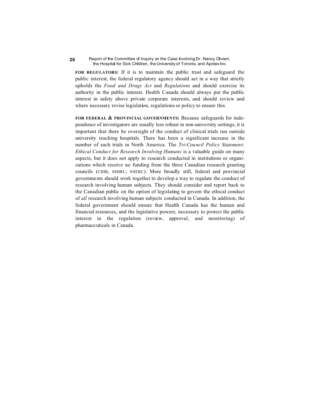**FOR REGULATORS:** If it is to maintain the public trust and safeguard the public interest, the federal regulatory agency should act in a way that strictly upholds the *Food and Drugs Act* and *Regulations* and should exercise its authority in the public interest. Health Canada should always put the public interest in safety above private corporate interests, and should review and where necessary revise legislation, regulations or policy to ensure this.

**FOR FEDERAL & PROVINCIAL GOVERNMENTS:** Because safeguards for independence of investigators are usually less robust in non-university settings, it is important that there be oversight of the conduct of clinical trials run outside university teaching hospitals. There has been a significant increase in the number of such trials in North America. The *Tri-Council Policy Statement: Ethical Conduct for Research Involving Humans* is a valuable guide on many aspects, but it does not apply to research conducted in institutions or organizations which receive no funding from the three Canadian research granting councils (CIHR, SSHRC, NSERC). More broadly still, federal and provincial governments should work together to develop a way to regulate the conduct of research involving human subjects. They should consider and report back to the Canadian public on the option of legislating to govern the ethical conduct of *all* research involving human subjects conducted in Canada. In addition, the federal government should ensure that Health Canada has the human and financial resources, and the legislative powers, necessary to protect the public interest in the regulation (review, approval, and monitoring) of pharmaceuticals in Canada.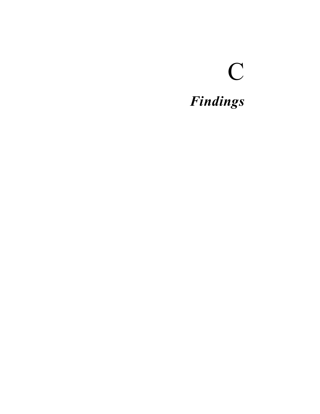# C *Findings*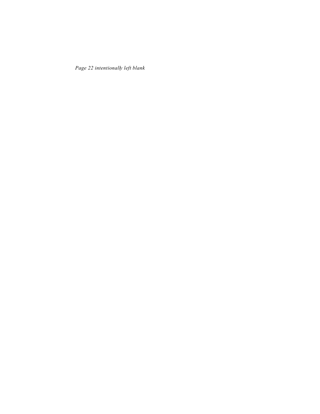*Page 22 intentionally left blank*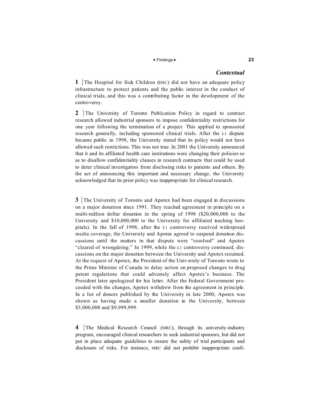# $\blacksquare$  Findings  $\blacksquare$

# *Contextual*

**1** The Hospital for Sick Children (HSC) did not have an adequate policy infrastructure to protect patients and the public interest in the conduct of clinical trials, and this was a contributing factor in the development of the controversy.

**2** The University of Toronto Publication Policy in regard to contract research allowed industrial sponsors to impose confidentiality restrictions for one year following the termination of a project. This applied to sponsored research genera lly, including sponsored clinical trials. After the L1 dispute became public in 1998, the University stated that its policy would not have allowed such restrictions. This was not true. In 2001 the University announced that it and its affiliated health care institutions were changing their policies so as to disallow confidentiality clauses in research contracts that could be used to deter clinical investigators from disclosing risks to patients and others. By the act of announcing this important and necessary change, the University acknowledged that its prior policy was inappropriate for clinical research.

**3** The University of Toronto and Apotex had been engaged in discussions on a major donation since 1991. They reached agreement in principle on a multi-million dollar donation in the spring of 1998 (\$20,000,000 to the University and \$10,000,000 to the University for affiliated teaching hospitals). In the fall of 1998, after the L1 controversy received widespread media coverage, the University and Apotex agreed to suspend donation discussions until the matters in that dispute were "resolved" and Apotex "cleared of wrongdoing." In 1999, while the L1 controversy continued, discussions on the major donation between the University and Apotex resumed. At the request of Apotex, the President of the University of Toronto wrote to the Prime Minister of Canada to delay action on proposed changes to drug patent regulations that could adversely affect Apotex's business. The President later apologized for his letter. After the Federal Government proceeded with the changes, Apotex withdrew from the agreement in principle. In a list of donors published by the University in late 2000, Apotex was shown as having made a smaller donation to the University, between \$5,000,000 and \$9,999,999.

4 The Medical Research Council (MRC), through its university-industry program, encouraged clinical researchers to seek industrialsponsors, but did not put in place adequate guidelines to ensure the safety of trial participants and disclosure of risks. For instance, MRC did not prohibit inappropriate confi-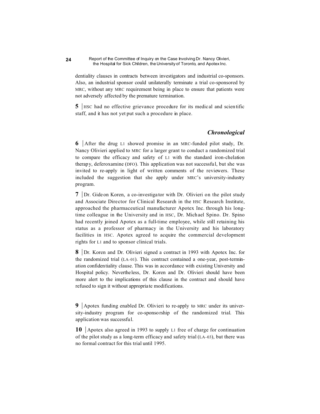dentiality clauses in contracts between investigators and industrial co-sponsors. Also, an industrial sponsor could unilaterally terminate a trial co-sponsored by MRC, without any MRC requirement being in place to ensure that patients were not adversely affected by the premature termination.

**5** HSC had no effective grievance procedure for its medical and scientific staff, and it has not yet put such a procedure in place.

# *Chronological*

**6** After the drug L1 showed promise in an MRC-funded pilot study, Dr. Nancy Olivieri applied to MRC for a larger grant to conduct a randomized trial to compare the efficacy and safety of L1 with the standard iron-chelation therapy, deferoxamine (DFO). This application was not successful, but she was invited to re-apply in light of written comments of the reviewers. These included the suggestion that she apply under MRC's university-industry program.

**7** Dr. Gideon Koren, a co-investigator with Dr. Olivieri on the pilot study and Associate Director for Clinical Research in the HSC Research Institute, approached the pharmaceutical manufacturer Apotex Inc. through his longtime colleague in the University and in HSC, Dr. Michael Spino. Dr. Spino had recently joined Apotex as a full-time employee, while still retaining his status as a professor of pharmacy in the University and his laboratory facilities in HSC. Apotex agreed to acquire the commercial development rights for L1 and to sponsor clinical trials.

**8** Dr. Koren and Dr. Olivieri signed a contract in 1993 with Apotex Inc. for the randomized trial (LA–01). This contract contained a one-year, post-termination confidentiality clause. This was in accordance with existing University and Hospital policy. Nevertheless, Dr. Koren and Dr. Olivieri should have been more alert to the implications of this clause in the contract and should have refused to sign it without appropriate modifications.

**9** Apotex funding enabled Dr. Olivieri to re-apply to MRC under its university-industry program for co-sponsorship of the randomized trial. This application was successful.

**10** Apotex also agreed in 1993 to supply L1 free of charge for continuation of the pilot study as a long-term efficacy and safety trial (LA–03), but there was no formal contract for this trial until 1995.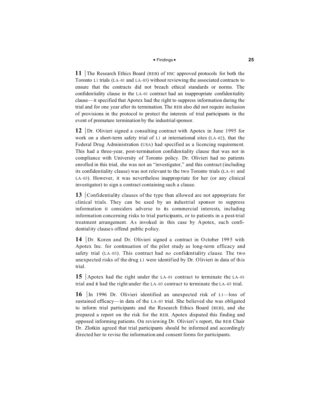## $\blacksquare$  Findings  $\blacksquare$

**11** The Research Ethics Board (REB) of HSC approved protocols for both the Toronto L1 trials (LA–01 and LA–03) without reviewing the associated contracts to ensure that the contracts did not breach ethical standards or norms. The confidentiality clause in the LA–01 contract had an inappropriate confidentiality clause—it specified that Apotex had the right to suppress information during the trial and for one year after its termination. The REB also did not require inclusion of provisions in the protocol to protect the interests of trial participants in the event of premature termination by the industrial sponsor.

**12** Dr. Olivieri signed a consulting contract with Apotex in June 1995 for work on a short-term safety trial of L1 at international sites (LA–02), that the Federal Drug Administration (USA) had specified as a licencing requirement. This had a three-year, post-termination confidentiality clause that was not in compliance with University of Toronto policy. Dr. Olivieri had no patients enrolled in this trial, she was not an "investigator," and this contract (including its confidentiality clause) was not relevant to the two Toronto trials (LA–01 and LA–03). However, it was nevertheless inappropriate for her (or any clinical investigator) to sign a contract containing such a clause.

**13** Confidentiality clauses of the type then allowed are not appropriate for clinical trials. They can be used by an industrial sponsor to suppress information it considers adverse to its commercial interests, including information concerning risks to trial participants, or to patients in a post-trial treatment arrangement. As invoked in this case by Apotex, such confidentiality clause s offend public p olicy.

**14** Dr. Koren and Dr. Olivieri signed a contract in October 1995 with Apotex Inc. for continuation of the pilot study as long-term efficacy and safety trial (LA–03). This contract had *no* confidentiality clause. The two unexpected risks of the drug L1 were identified by Dr. Olivieri in data of this trial.

**15** Apotex had the right under the LA–01 contract to terminate the LA–01 trial and it had the right under the LA–03 contract to terminate the LA–03 trial.

**16** In 1996 Dr. Olivieri identified an unexpected risk of L1—loss of sustained efficacy—in data of the LA–03 trial. She believed she was obligated to inform trial participants and the Research Ethics Board (REB), and she prepared a report on the risk for the REB. Apotex disputed this finding and opposed informing patients. On reviewing Dr. Olivieri's report, the REB Chair Dr. Zlotkin agreed that trial participants should be informed and accordingly directed her to revise the information and consent forms for participants.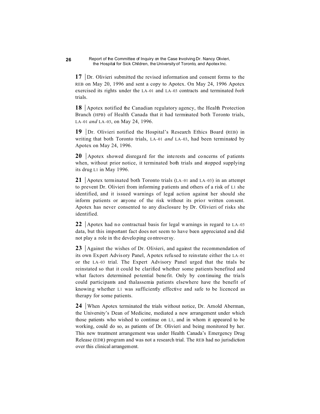**17** Dr. Olivieri submitted the revised information and consent forms to the REB on May 20, 1996 and sent a copy to Apotex. On May 24, 1996 Apotex exercised its rights under the LA–01 and LA–03 contracts and terminated *both* trials.

**18** Apotex notified the Canadian regulatory agency, the Health Protection Branch (HPB) of Health Canada that it had terminated both Toronto trials, LA–01 *and* LA–03, on May 24, 1996.

**19** Dr. Olivieri notified the Hospital's Research Ethics Board (REB) in writing that both Toronto trials, LA–01 *and* LA–03, had been terminated by Apotex on May 24, 1996.

**20** Apotex showed disregard for the interests and concerns of patients when, without prior notice, it terminated both trials and stopped supplying its drug L1 in May 1996.

**21** Apotex terminated both Toronto trials (LA–01 and LA–03) in an attempt to prevent Dr. Olivieri from informing p atients and others of a risk of L1 she identified, and it issued warnings of legal action against her should she inform patients or anyone of the risk without its prior written consent. Apotex has never consented to any disclosure by Dr. Olivieri of risks she identified.

**22** Apotex had no contractual basis for legal warnings in regard to  $LA-03$ data, but this important fact does not seem to have been appreciated and did not play a role in the develo ping controversy.

**23** Against the wishes of Dr. Olivieri, and against the recommendation of its own Expert Advisory Panel, Apotex refused to reinstate either the LA–01 or the LA–03 trial. The Expert Advisory Panel urged that the trials be reinstated so that it could be clarified whether some patients benefited and what factors determined potential benefit. Only by continuing the trials could participants and thalassemia patients elsewhere have the benefit of knowing whether L1 was sufficiently effective and safe to be licenced as therapy for some patients.

**24** When Apotex terminated the trials without notice, Dr. Arnold Aberman, the University's Dean of Medicine, mediated a new arrangement under which those patients who wished to continue on L1, and in whom it appeared to be working, could do so, as patients of Dr. Olivieri and being monitored by her. This new treatment arrangement was under Health Canada's Emergency Drug Release (EDR) program and was not a research trial. The REB had no jurisdiction over this clinical arrangement.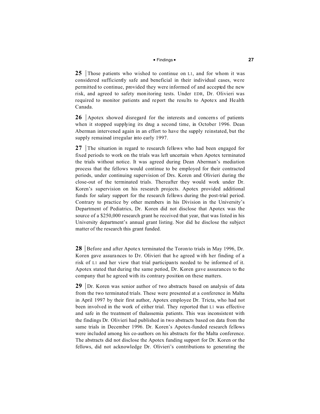# $\blacksquare$  Findings  $\blacksquare$

**25** Those patients who wished to continue on L1, and for whom it was considered sufficiently safe and beneficial in their individual cases, we re permitted to continue, provided they were informed of and accepted the new risk, and agreed to safety monitoring tests. Under EDR, Dr. Olivieri was required to monitor patients and report the results to Apotex and He alth Canada.

**26** Apotex showed disregard for the interests and concerns of patients when it stopped supplying its drug a second time, in October 1996. Dean Aberman intervened again in an effort to have the supply reinstated, but the supply remained irregular into early 1997.

**27** The situation in regard to research fellows who had been engaged for fixed periods to work on the trials was left uncertain when Apotex terminated the trials without notice. It was agreed during Dean Aberman's mediation process that the fellows would continue to be employed for their contracted periods, under continuing supervision of Drs. Koren and Olivieri during the close-out of the terminated trials. Thereafter they would work under Dr. Koren's supervision on his research projects. Apotex provided additional funds for salary support for the research fellows during the post-trial period. Contrary to practice by other members in his Division in the University's Department of Pediatrics, Dr. Koren did not disclose that Apotex was the source of a \$250,000 research grant he received that year, that was listed in his University department's annual grant listing. Nor did he disclose the subject matter of the research this grant funded.

**28** Before and after Apotex terminated the Toron to trials in May 1996, Dr. Koren gave assura nces to Dr. Olivieri that he agreed with her finding of a risk of L1 and her view that trial participants needed to be informed of it. Apotex stated that during the same period, Dr. Koren gave assurances to the company that he agreed with its contrary position on these matters.

**29** Dr. Koren was senior author of two abstracts based on analysis of data from the two terminated trials. These were presented at a conference in Malta in April 1997 by their first author, Apotex employee Dr. Tricta, who had not been involved in the work of either trial. They reported that L1 was effective and safe in the treatment of thalassemia patients. This was inconsistent with the findings Dr. Olivieri had published in two abstracts based on data from the same trials in December 1996. Dr. Koren's Apotex-funded research fellows were included among his co-authors on his abstracts for the Malta conference. The abstracts did not disclose the Apotex funding support for Dr. Koren or the fellows, did not acknowledge Dr. Olivieri's contributions to generating the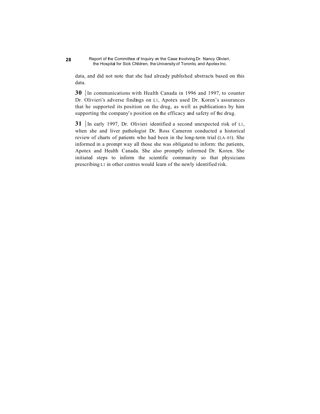data, and did not note that she had already published abstracts based on this data.

**30** In communications with Health Canada in 1996 and 1997, to counter Dr. Olivieri's adverse findings on L1, Apotex used Dr. Koren's assurances that he supported its position on the drug, as well as publications by him supporting the company's position on the efficacy and safety of the drug.

**31** In early 1997, Dr. Olivieri identified a second unexpected risk of L1, when she and liver pathologist Dr. Ross Cameron conducted a historical review of charts of patients who had been in the long-term trial (LA–03). She informed in a prompt way all those she was obligated to inform: the patients, Apotex and Health Canada. She also promptly informed Dr. Koren. She initiated steps to inform the scientific community so that physicians prescribing L1 in other centres would learn of the newly identified risk.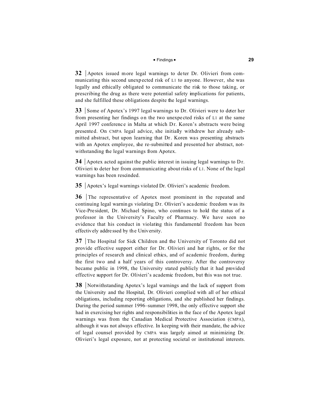# $\blacksquare$  Findings  $\blacksquare$

**32** Apotex issued more legal warnings to deter Dr. Olivieri from communicating this second unexpected risk of L1 to anyone. However, she was legally and ethically obligated to communicate the risk to those taking, or prescribing the drug as there were potential safety implications for patients, and she fulfilled these obligations despite the legal warnings.

**33** Some of Apotex's 1997 legal warnings to Dr. Olivieri were to deter her from presenting her findings on the two unexpe cted risks of L1 at the same April 1997 conference in Malta at which Dr. Koren's abstracts were being presented. On CMPA legal advice, she initially withdrew her already submitted abstract, but upon learning that Dr. Koren was presenting abstracts with an Apotex employee, she re-submitted and presented her abstract, notwithstanding the legal warnings from Apotex.

**34** Apotex acted against the public interest in issuing legal warnings to Dr. Olivieri to deter her from communicating about risks of L1. None of the legal warnings has been rescinded.

**35** Apotex's legal warnings violated Dr. Olivieri's academic freedom.

**36** The representative of Apotex most prominent in the repeated and continuing legal warnin gs violating Dr. Olivieri's aca demic freedom was its Vice-Pre sident, Dr. Michael Spino, who continues to hold the status of a professor in the University's Faculty of Pharmacy. We have seen no evidence that his conduct in violating this fundamental freedom has been effectively addre ssed by th e University.

**37** The Hospital for Sick Children and the University of Toronto did not provide effective support either for Dr. Olivieri and her rights, or for the principles of research and clinical ethics, and of academic freedom, during the first two and a half years of this controversy. After the controversy became public in 1998, the University stated publicly that it had provided effective support for Dr. Olivieri's academic freedom, but this was not true.

**38** Notwithstanding Apotex's legal warnings and the lack of support from the University and the Hospital, Dr. Olivieri complied with all of her ethical obligations, including reporting obligations, and she published her findings. During the period summer 1996–summer 1998, the only effective support she had in exercising her rights and responsibilities in the face of the Apotex legal warnings was from the Canadian Medical Protective Association (CMPA), although it was not always effective. In keeping with their mandate, the advice of legal counsel provided by CMPA was largely aimed at minimizing Dr. Olivieri's legal exposure, not at protecting societal or institutional interests.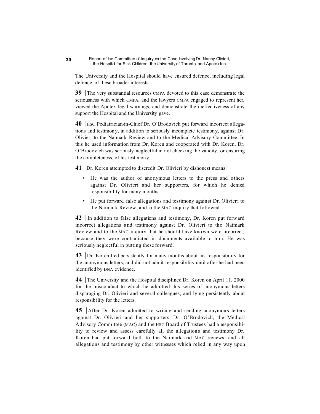The University and the Hospital should have ensured defence, including legal defence, of these broader interests.

**39** The very substantial resources CMPA devoted to this case demonstrate the seriousness with which CMPA, and the lawyers CMPA engaged to represent her, viewed the Apotex legal warnings, and demonstrate the ineffectiveness of any support the Hospital and the University gave.

**40** | HSC Pediatrician-in-Chief Dr. O'Brodovich put forward incorrect allegations and testimony, in addition to seriously incomplete testimony, against Dr. Olivieri to the Naimark Review and to the Medical Advisory Committee. In this he used information from Dr. Koren and cooperated with Dr. Koren. Dr. O'Brodovich was seriously neglectful in not checking the validity, or ensuring the completeness, of his testimony.

**41** Dr. Koren attempted to discredit Dr. Olivieri by dishonest means:

- He was the author of anonymous letters to the press and others against Dr. Olivieri and her supporters, for which he denied responsibility for many months.
- He put forward false allegations and testimony against Dr. Olivieri to the Naimark Review, and to the MAC inquiry that followed.

**42** In addition to false allegations and testimony, Dr. Koren put forward incorrect allegations and testimony against Dr. Olivieri to the Naimark Review and to the MAC inquiry that he should have known were incorrect, because they were contradicted in documents available to him. He was seriously neglectful in putting these forward.

**43** Dr. Koren lied persistently for many months about his responsibility for the anonymous letters, and did not admit responsibility until after he had been identified by DNA evidence.

**44** The University and the Hospital disciplined Dr. Koren on April 11, 2000 for the misconduct to which he admitted: his series of anonymous letters disparaging Dr. Olivieri and several colleagues; and lying persistently about responsibility for the letters.

**45** After Dr. Koren admitted to writing and sending anonymous letters against Dr. Olivieri and her supporters, Dr. O'Brodovich, the Medical Advisory Committee (MAC) and the HSC Board of Trustees had a responsibility to review and assess carefully all the allegations and testimony Dr. Koren had put forward both to the Naimark and MAC reviews, and all allegations and testimony by other witnesses which relied in any way upon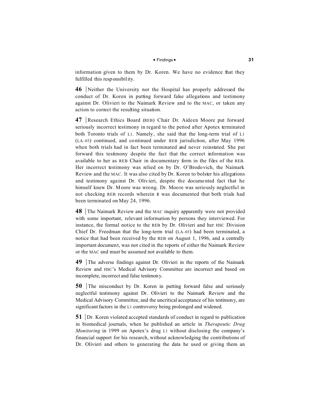# $\blacksquare$  Findings  $\blacksquare$

information given to them by Dr. Koren. We have no evidence that they fulfilled this responsibility.

**46** Neither the University nor the Hospital has properly addressed the conduct of Dr. Koren in putting forward false allegations and testimony against Dr. Olivieri to the Naimark Review and to the MAC, or taken any action to correct the resulting situation.

**47** Research Ethics Board (REB) Chair Dr. Aideen Moore put forward seriously incorrect testimony in regard to the period after Apotex terminated both Toronto trials of L1. Namely, she said that the long-term trial of L1 (LA–03) continued, and continued under REB jurisdiction, after May 1996 when both trials had in fact been terminated and never reinstated. She put forward this testimony despite the fact that the correct information was available to her as REB Chair in documentary form in the files of the REB. Her incorrect testimony was relied on by Dr. O'Brodovich, the Naimark Review and the MAC. It was also cited by Dr. Koren to bolster his allegations and testimony aga inst Dr. Olivieri, despite the documented fact that he himself knew Dr. Moore was wrong. Dr. Moore was seriously neglectful in not checking REB records wherein it was documented that both trials had been terminated on May 24, 1996.

**48** The Naimark Review and the MAC inquiry apparently were not provided with some important, relevant information by persons they interviewed. For instance, the formal notice to the REB by Dr. Olivieri and her HSC Division Chief Dr. Freedman that the long-term trial (LA–03) had been terminated, a notice that had been received by the REB on August 1, 1996, and a centrally important document, was not cited in the reports of either the Naimark Review or the MAC and must be assumed not available to them.

**49** The adverse findings against Dr. Olivieri in the reports of the Naimark Review and HSC's Medical Advisory Committee are incorrect and based on incomplete, incorrect and false testimony.

**50** The misconduct by Dr. Koren in putting forward false and seriously neglectful testimony against Dr. Olivieri to the Naimark Review and the Medical Advisory Committee, and the uncritical acceptance of his testimony, are significant factors in the L1 controversy being prolonged and widened.

**51** Dr. Koren violated accepted standards of conduct in regard to publication in biomedical journals, when he published an article in *Therapeutic Drug Monitoring* in 1999 on Apotex's drug L1 without disclosing the company's financial support for his research, without acknowledging the contributions of Dr. Olivieri and others to generating the data he used or giving them an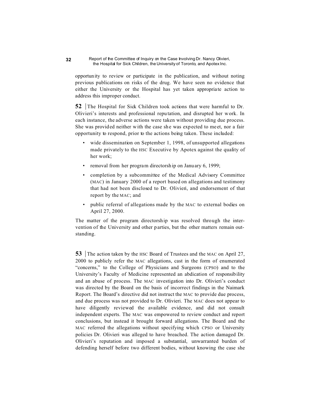opportunity to review or participate in the publication, and without noting previous publications on risks of the drug. We have seen no evidence that either the University or the Hospital has yet taken appropriate action to address this improper conduct.

**52** The Hospital for Sick Children took actions that were harmful to Dr. Olivieri's interests and professional repu tation, and disrupted her work. In each instance, the adverse actions were taken without providing due process. She was provided neither with the case she was expected to meet, nor a fair opportunity to respond, prior to the actions being taken. These included:

- wide dissemination on September 1, 1998, of unsupported allegations made privately to the HSC Executive by Apotex against the quality of her work;
- removal from her program directorship on January 6, 1999;
- completion by a subcommittee of the Medical Advisory Committee (MAC) in January 2000 of a report based on allegations and testimony that had not been disclosed to Dr. Olivieri, and endorsement of that report by the MAC; and
- public referral of allegations made by the MAC to external bodies on April 27, 2000.

The matter of the program directorship was resolved through the intervention of the University and other parties, but the other matters remain outstanding.

**53** The action taken by the HSC Board of Trustees and the MAC on April 27, 2000 to publicly refer the MAC allegations, cast in the form of enumerated "concerns," to the College of Physicians and Surgeons (CPSO) and to the University's Faculty of Medicine represented an abdication of responsibility and an abuse of process. The MAC investigation into Dr. Olivieri's conduct was directed by the Board on the basis of incorrect findings in the Naimark Report. The Board's directive did not instruct the MAC to provide due process, and due process was not provided to Dr. Olivieri. The MAC does not appear to have diligently reviewed the available evidence, and did not consult independent experts. The MAC was empowered to review conduct and report conclusions, but instead it brought forward allegations. The Board and the MAC referred the allegations without specifying which CPSO or University policies Dr. Olivieri was alleged to have breached. The action damaged Dr. Olivieri's reputation and imposed a substantial, unwarranted burden of defending herself before two different bodies, without knowing the case she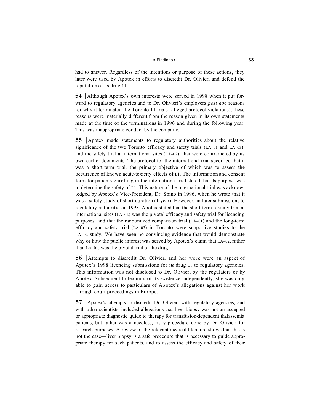# $\blacksquare$  Findings  $\blacksquare$

had to answer. Regardless of the intentions or purpose of these actions, they later were used by Apotex in efforts to discredit Dr. Olivieri and defend the reputation of its drug L1.

**54** Although Apotex's own interests were served in 1998 when it put forward to regulatory agencies and to Dr. Olivieri's employers *post hoc* reasons for why it terminated the Toronto L1 trials (alleged protocol violations), these reasons were materially different from the reason given in its own statements made at the time of the terminations in 1996 and during the following year. This was inappropriate conduct by the company.

**55** Apotex made statements to regulatory authorities about the relative significance of the two Toronto efficacy and safety trials (LA–01 and LA–03), and the safety trial at international sites  $(LA-02)$ , that were contradicted by its own earlier documents. The protocol for the international trial specified that it was a short-term trial, the primary objective of which was to assess the occurrence of known acute-toxicity effects of L1. The information and consent form for patients enrolling in the international trial stated that its purpose was to determine the safety of L1. This nature of the international trial was acknowledged by Apotex's Vice-President, Dr. Spino in 1996, when he wrote that it was a safety study of short duration (1 year). However, in later submissions to regulatory authoritiesin 1998, Apotex stated that the short-term toxicity trial at international sites (LA–02) was the pivotal efficacy and safety trial for licencing purposes, and that the randomized comparison trial (LA–01) and the long-term efficacy and safety trial (LA–03) in Toronto were supportive studies to the LA–02 study. We have seen no convincing evidence that would demonstrate why or how the public interest was served by Apotex's claim that LA–02, rather than LA–01, was the pivotal trial of the drug.

**56** Attempts to discredit Dr. Olivieri and her work were an aspect of Apotex's 1998 licencing submissions for its drug L1 to regulatory agencies. This information was not disclosed to Dr. Olivieri by the regulators or by Apotex. Subsequent to learning of its existence independently, she was only able to gain access to particulars of Apotex's allegations against her work through court proceedings in Europe.

**57** Apotex's attempts to discredit Dr. Olivieri with regulatory agencies, and with other scientists, included allegations that liver biopsy was not an accepted or appropriate diagnostic guide to therapy for transfusion-dependent thalassemia patients, but rather was a needless, risky procedure done by Dr. Olivieri for research purposes. A review of the relevant medical literature shows that this is not the case—liver biopsy is a safe procedure that is necessary to guide appropriate therapy for such patients, and to assess the efficacy and safety of their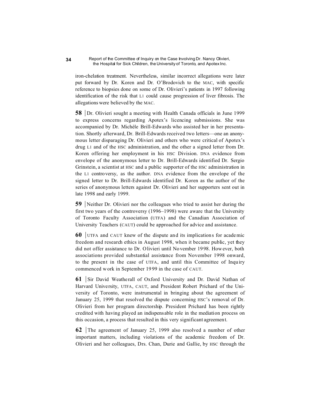iron-chelation treatment. Nevertheless, similar incorrect allegations were later put forward by Dr. Koren and Dr. O'Brodovich to the MAC, with specific reference to biopsies done on some of Dr. Olivieri's patients in 1997 following identification of the risk that L1 could cause progression of liver fibrosis. The allegations were believed by the MAC.

**58** Dr. Olivieri sought a meeting with Health Canada officials in June 1999 to express concerns regarding Apotex's licencing submissions. She was accompanied by Dr. Michèle Brill-Edwards who assisted her in her presentation. Shortly afterward, Dr. Brill-Edwards received two letters—one an anonymous letter disparaging Dr. Olivieri and others who were critical of Apotex's drug L1 and of the HSC administration, and the other a signed letter from Dr. Koren offering her employment in his HSC Division. DNA evidence from envelope of the anonymous letter to Dr. Brill-Edwards identified Dr. Sergio Grinstein, a scientist at HSC and a public supporter of the HSC administration in the L1 controversy, as the author. DNA evidence from the envelope of the signed letter to Dr. Brill-Edwards identified Dr. Koren as the author of the series of anonymous letters against Dr. Olivieri and her supporters sent out in late 1998 and early 1999.

**59** Neither Dr. Olivieri nor the colleagues who tried to assist her during the first two years of the controversy (1996–1998) were aware that the University of Toronto Faculty Association (UTFA) and the Canadian Association of University Teachers (CAUT) could be approached for advice and assistance.

**60** UTFA and CAUT knew of the dispute and its implications for academic freedom and research ethics in August 1998, when it became public, yet they did not offer assistance to Dr. Olivieri until November 1998. However, both associations provided substantial assistance from November 1998 onward, to the present in the case of UTFA, and until this Committee of Inquiry commenced work in September 19 99 in the case of CAUT.

**61** Sir David Weatherall of Oxford University and Dr. David Nathan of Harvard University, UTFA, CAUT, and President Robert Prichard of the University of Toronto, were instrumental in bringing about the agreement of January 25, 1999 that resolved the dispute concerning HSC's removal of Dr. Olivieri from her program directorship. President Prichard has been rightly credited with having played an indispensable role in the mediation process on this occasion, a process that resulted in this very significant agreement.

**62** The agreement of January 25, 1999 also resolved a number of other important matters, including violations of the academic freedom of Dr. Olivieri and her colleagues, Drs. Chan, Durie and Gallie, by HSC through the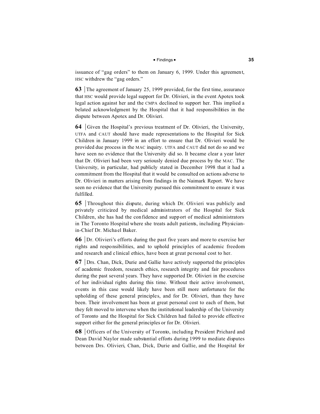# $\blacksquare$  Findings  $\blacksquare$

issuance of "gag orders" to them on January 6, 1999. Under this agreement, HSC withdrew the "gag orders."

**63** The agreement of January 25, 1999 provided, for the first time, assurance that HSC would provide legal support for Dr. Olivieri, in the event Apotex took legal action against her and the CMPA declined to support her. This implied a belated acknowledgment by the Hospital that it had responsibilities in the dispute between Apotex and Dr. Olivieri.

**64** Given the Hospital's previous treatment of Dr. Olivieri, the University, UTFA and CAUT should have made representations to the Hospital for Sick Children in January 1999 in an effort to ensure that Dr. Olivieri would be provided due process in the MAC inquiry. UTFA and CAUT did not do so and we have seen no evidence that the University did so. It became clear a year later that Dr. Olivieri had been very seriously denied due process by the MAC. The University, in particular, had publicly stated in December 1998 that it had a commitment from the Hospital that it would be consulted on actions adverse to Dr. Olivieri in matters arising from findings in the Naimark Report. We have seen no evidence that the University pursued this commitment to ensure it was fulfilled.

**65** Throughout this dispute, during which Dr. Olivieri was publicly and privately criticized by medical administrators of the Hospital for Sick Children, she has had the confidence and support of medical administrators in The Toronto Hospital where she treats adult patients, including Physicianin-Chief Dr. Micha el Baker.

**66** Dr. Olivieri's efforts during the past five years and more to exercise her rights and responsibilities, and to uphold principles of academic freedom and research and c linical ethics, have been at great pe rsonal cost to her.

**67** Drs. Chan, Dick, Durie and Gallie have actively supported the principles of academic freedom, research ethics, research integrity and fair procedures during the past several years. They have supported Dr. Olivieri in the exercise of her individual rights during this time. Without their active involvement, events in this case would likely have been still more unfortuna te for the upholding of these general principles, and for Dr. Olivieri, than they have been. Their involvement has been at great personal cost to each of them, but they felt moved to intervene when the institutional leadership of the University of Toronto and the Hospital for Sick Children had failed to provide effective support either for the general principles or for Dr. Olivieri.

**68** Officers of the University of Toronto, including President Prichard and Dean David Naylor made substantial efforts during 1999 to mediate disputes between Drs. Olivieri, Chan, Dick, Durie and Gallie, and the Hospital for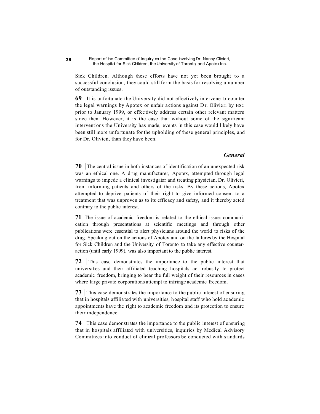Sick Children. Although these efforts have not yet been brought to a successful conclusion, they could still form the basis for resolving a number of outstanding issues.

 $69$  It is unfortunate the University did not effectively intervene to counter the legal warnings by Apotex or unfair actions against Dr. Olivieri by HSC prior to January 1999, or effec tively address certain other relevant matters since then. However, it is the case that without some of the significant interventions the University has made, events in this case would likely have been still more unfortunate for the upholding of these general principles, and for Dr. Olivieri, than they have been.

# *General*

**70** The central issue in both instances of identification of an unexpected risk was an ethical one. A drug manufacturer, Apotex, attempted through legal warnings to impede a clinical investigator and treating physician, Dr. Olivieri, from informing patients and others of the risks. By these actions, Apotex attempted to deprive patients of their right to give informed consent to a treatment that was unproven as to its efficacy and safety, and it thereby acted contrary to the public interest.

**71** The issue of academic freedom is related to the ethical issue: communication through presentations at scientific meetings and through other publications were essential to alert physicians around the world to risks of the drug. Speaking out on the actions of Apotex and on the failures by the Hospital for Sick Children and the University of Toronto to take any effective counteraction (until early 1999), was also important to the public interest.

**72** This case demonstrates the importance to the public interest that universities and their affiliated teaching hospitals act robustly to protect academic freedom, bringing to bear the full weight of their resources in cases where large private corporations attempt to infringe academic freedom.

**73** This case demonstrates the importance to the public interest of ensuring that in hospitals affilia ted with universities, hospital staff who hold ac ademic appointments have the right to academic freedom and its protection to ensure their independence.

**74** This case demonstrates the importance to the public interest of ensuring that in hospitals affiliated with universities, inquiries by Medical Advisory Committees into conduct of clinical professors be conducted with standards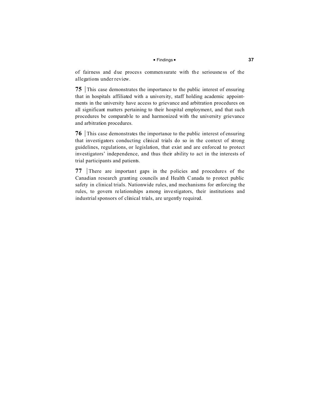# $\blacksquare$  Findings  $\blacksquare$

of fairness and due process commensurate with the seriousne ss of the allegations under review.

**75** This case demonstrates the importance to the public interest of ensuring that in hospitals affiliated with a university, staff holding academic appointments in the university have access to grievance and arbitration procedures on all significant matters pertaining to their hospital employment, and that such procedures be comparable to and harmonized with the university grievance and arbitration procedures.

**76** This case demonstrates the importance to the public interest of ensuring that investigators conducting clinical trials do so in the context of strong guidelines, regulations, or legislation, that exist and are enforced to protect investigators' independence, and thus their ability to act in the interests of trial participants and patients.

**77** There are important gaps in the policies and procedures of the Canadian research granting councils and Health Canada to protect public safety in clinical trials. Nationwide rules, and mechanisms for enforcing the rules, to govern re lationships among inve stigators, their institutions and industrial sponsors of clinical trials, are urgently required.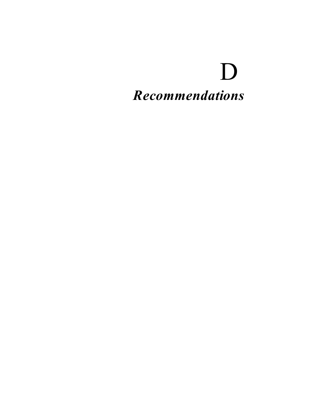# D *Recommendations*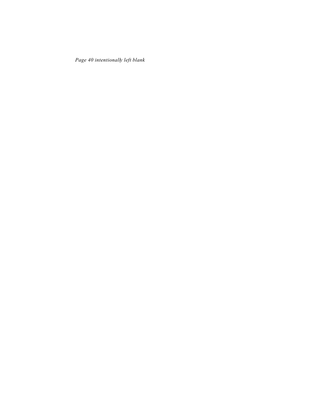*Page 40 intentionally left blank*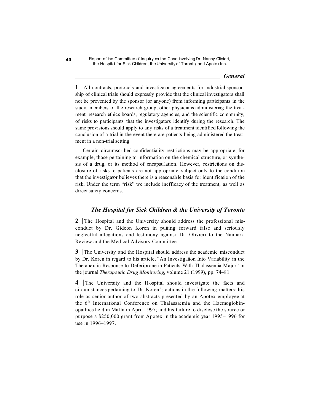# *General*

**1** All contracts, protocols and investigator agreements for industrial sponsorship of clinical trials should expressly provide that the clinical investigators shall not be prevented by the sponsor (or anyone) from informing participants in the study, members of the research group, other physicians administering the treatment, research ethics boards, regulatory agencies, and the scientific community, of risks to participants that the investigators identify during the research. The same provisions should apply to any risks of a treatment identified following the conclusion of a trial in the event there are patients being administered the treatment in a non-trial setting.

Certain circumscribed confidentiality restrictions may be appropriate, for example, those pertaining to information on the chemical structure, or synthesis of a drug, or its method of encapsulation. However, restrictions on disclosure of risks to patients are not appropriate, subject only to the condition that the investigator believes there is a reasonable basis for identification of the risk. Under the term "risk" we include inefficacy of the treatment, as well as direct safety concerns.

# *The Hospital for Sick Children & the University of Toronto*

**2** The Hospital and the University should address the professional misconduct by Dr. Gideon Koren in putting forward false and seriously neglectful allegations and testimony against Dr. Olivieri to the Naimark Review and the Medical Advisory Committee.

**3** The University and the Hospital should address the academic misconduct by Dr. Koren in regard to his article, "An Investigation Into Variability in the Therapeutic Response to Deferiprone in Patients With Thalassemia Major" in the journal *Therapeutic Drug Monitoring*, volume 21 (1999), pp. 74–81.

**4** The University and the Hospital should investigate the facts and circumstances pertaining to Dr. Koren's actions in the following matters: his role as senior author of two abstracts presented by an Apotex employee at the  $6<sup>th</sup>$  International Conference on Thalassaemia and the Haemoglobinopathies held in Ma lta in April 1997; and his failure to disclose the source or purpose a \$250,000 grant from Apotex in the academic year 1995–1996 for use in 1996–1997.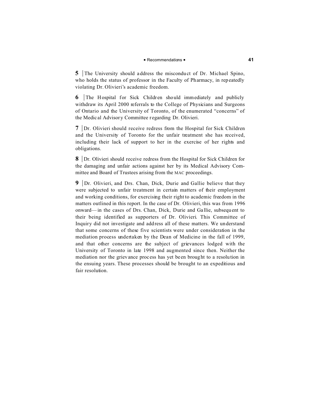# **P** Recommendations **P 41**

**5** The University should address the misconduct of Dr. Michael Spino, who holds the status of professor in the Faculty of Pharmacy, in repeatedly violating Dr. Olivieri's academic freedom.

**6** The Hospital for Sick Children should immediately and publicly withdraw its April 2000 referrals to the College of Physicians and Surgeons of Ontario and the University of Toronto, of the enumerated "concerns" of the Medic al Advisory Committee r egarding Dr. Olivieri.

**7** Dr. Olivieri should receive redress from the Hospital for Sick Children and the University of Toronto for the unfair treatment she has received, including their lack of support to her in the exercise of her rights and obligations.

**8** Dr. Olivieri should receive redress from the Hospital for Sick Children for the damaging and unfair actions against her by its Medical Advisory Committee and Board of Trustees arising from the MAC proceedings.

**9** Dr. Olivieri, and Drs. Chan, Dick, Durie and Gallie believe that they were subjected to unfair treatment in certain matters of their employment and working conditions, for exercising their right to academic freedom in the matters outlined in this report. In the case of Dr. Olivieri, this was from 1996 onward—in the cases of Drs. Chan, Dick, Durie and Ga llie, subsequ ent to their being identified as supporters of Dr. Olivieri. This Committee of Inquiry did not investigate and address all of these matters. We understand that some concerns of these five scientists were under consideration in the mediation process undertaken by the Dean of Medicine in the fall of 1999, and that other concerns are the subject of grievances lodged with the University of Toronto in late 1998 and augmented since then. Neither the mediation nor the grievance proc ess has yet be en brought to a resolution in the ensuing years. These processes should be brought to an expeditious and fair resolution.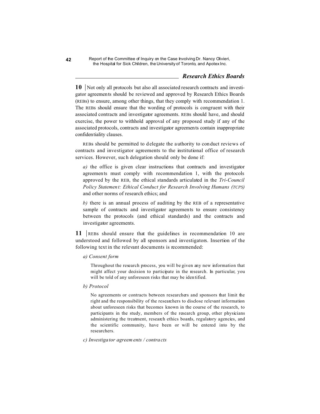# *Research Ethics Boards*

**10** Not only all protocols but also all associated research contracts and investigator agreements should be reviewed and approved by Research Ethics Boards (REBs) to ensure, among other things, that they comply with recommendation 1. The REBs should ensure that the wording of protocols is congruent with their associated contracts and investigator agreements. REBs should have, and should exercise, the power to withhold approval of any proposed study if any of the associated protocols, contracts and investigator agreements contain inappropriate confidentiality clauses.

REBs should be permitted to delegate the authority to conduct reviews of contracts and investigator agreements to the institutional office of research services. However, such delegation should only be done if:

*a)* the office is given clear instructions that contracts and investigator agreements must comply with recommendation 1, with the protocols approved by the REB, the ethical standards articulated in the *Tri-Council Policy Statement: Ethical Conduct for Research Involving Humans (TCPS)* and other norms of research ethics; and

*b)* there is an annual process of auditing by the REB of a representative sample of contracts and investigator agreements to ensure consistency between the protocols (and ethical standards) and the contracts and investigator agreements.

11 REBs should ensure that the guidelines in recommendation 10 are understood and followed by all sponsors and investigators. Insertion of the following text in the relevant documents is recommended:

# *a) Consent form*

Throughout the research process, you will be given any new information that might affect your decision to participate in the research. In particular, you will be told of any unforeseen risks that may be iden tified.

# *b) Protocol*

No agreements or contracts between researchers and sponsors that limit the right and the responsibility of the researchers to disclose relevant information about unforeseen risks that becomes known in the course of the research, to participants in the study, members of the research group, other physicians administering the treatment, research ethics boards, regulatory agencies, and the scientific community, have been or will be entered into by the researchers.

# *c) Investigator agreements / contracts*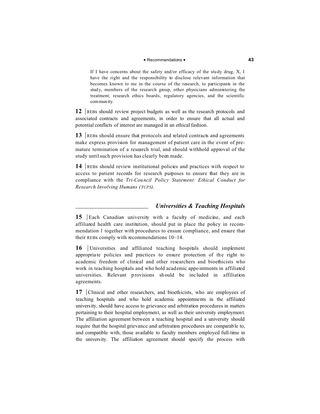# **P** Recommendations **P 43**

If I have concerns about the safety and/or efficacy of the stu dy drug, X, I have the right and the responsibility to disclose relevant information that becomes known to me in the course of the research, to participants in the stud y, members of the research group, other physicians administering the treatment, research ethics boards, regulatory agencies, and the scientific community.

**12** REBs should review project budgets as well as the research protocols and associated contracts and agreements, in order to ensure that all actual and potential conflicts of interest are managed in an ethical fashion.

**13** REBs should ensure that protocols and related contracts and agreements make express provision for management of patient care in the event of premature termination of a research trial, and should withhold approval of the study until such provision has clearly been made.

**14** REBs should review institutional policies and practices with respect to access to patient records for research purposes to ensure that they are in compliance with the *Tri-Council Policy Statement: Ethical Conduct for Research Involving Humans (TCPS).*

# *Universities & Teaching Hospitals*

**15** Each Canadian university with a faculty of medicine, and each affiliated health care institution, should put in place the policy in recommendation 1 together with procedures to ensure compliance, and ensure that their REBs comply with recommendations 10–14.

**16** Universities and affiliated teaching hospitals should implement appropria te policies and practices to ensure protection of the right to academic freedom of clinical and other researchers and bioethicists who work in teaching hospitals and who hold academic appointments in affiliated universities. Relevant provisions should be inc luded in affiliation agreements.

**17** Clinical and other researchers, and bioethicists, who are employees of teaching hospitals and who hold academic appointments in the affiliated university, should have access to grievance and arbitration procedures in matters pertaining to their hospital employment, as well as their university employment. The affiliation agreement between a teaching hospital and a university should require that the hospital grievance and arbitration procedures are comparable to, and compatible with, those available to faculty members employed full-time in the university. The affiliation agreement should specify the process with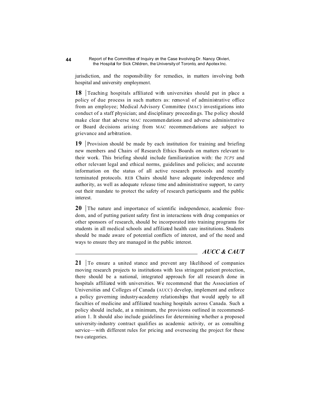jurisdiction, and the responsibility for remedies, in matters involving both hospital and university employment.

**18** Teaching hospitals affiliated with universities should put in place a policy of due process in such matters as: removal of administrative office from an employee; Medical Advisory Committee (MAC) investigations into conduct of a staff physician; and disciplinary proceedin gs. The policy should make clear that adverse MAC recommen dations and adverse administrative or Board de cisions arising from MAC recommen dations are subject to grievance and arbitration.

**19** Provision should be made by each institution for training and briefing new members and Chairs of Research Ethics Boards on matters relevant to their work. This briefing should include familiarization with: the *TCPS* and other relevant legal and ethical norms, guidelines and policies; and accurate information on the status of all active research protocols and recently terminated protocols. REB Chairs should have adequate independence and authority, as well as adequate release time and administrative support, to carry out their mandate to protect the safety of research participants and the public interest.

**20** The nature and importance of scientific independence, academic freedom, and of putting patient safety first in interactions with drug companies or other sponsors of research, should be incorporated into training programs for students in all medical schools and affiliated health care institutions. Students should be made aware of potential conflicts of interest, and of the need and ways to ensure they are managed in the public interest.

# *AUCC & CAUT*

**21**  $\boxed{70}$  ensure a united stance and prevent any likelihood of companies moving research projects to institutions with less stringent patient protection, there should be a national, integrated approach for all research done in hospitals affiliated with universities. We recommend that the Association of Universities and Colleges of Canada (AUCC) develop, implement and enforce a policy governing industry-academy relationships that would apply to all faculties of medicine and affiliated teaching hospitals across Canada. Such a policy should include, at a minimum, the provisions outlined in recommendation 1. It should also include guidelines for determining whether a proposed university-industry contract qualifies as academic activity, or as consulting service—with different rules for pricing and overseeing the project for these two categories.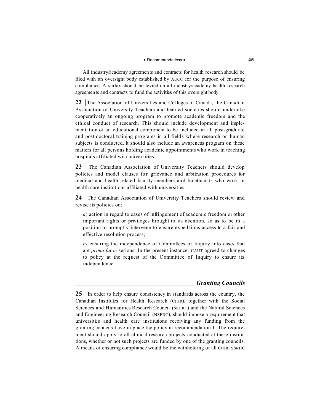# **P** Recommendations **P 45**

All industry/academy agreements and contracts for health research should be filed with an oversight body established by AUCC for the purpose of ensuring compliance. A surtax should be levied on all industry/academy health research agreements and contracts to fund the activities of this oversight body.

**22** The Association of Universities and Colleges of Canada, the Canadian Association of University Teachers and learned societies should undertake cooperatively an ongoing program to promote academic freedom and the ethical conduct of research. This should include development and implementation of an educational component to be included in all post-gradu ate and post-doctoral training programs in all fields where research on human subjects is conducted. It should also include an awareness program on these matters for all persons holding academic appointments who work in teaching hospitals affiliated with universities.

23 The Canadian Association of University Teachers should develop policies and model clauses for grievance and arbitration procedures for medical and health-related faculty members and bioethicists who work in health care institutions affiliated with universities.

**24** The Canadian Association of University Teachers should review and revise its policies on:

*a*) action in regard to cases of infringement of academic freedom or other important rights or privileges brought to its attention, so as to be in a position to promptly intervene to ensure expeditious access to a fair and effective resolution process;

*b)* ensuring the independence of Committees of Inquiry into cases that are *prima facie* serious. In the present instance, CAUT agreed to changes to policy at the request of the Committee of Inquiry to ensure its independence.

# *Granting Councils*

**<sup>25</sup>** In order to help ensure consistency in standards across the country, the Canadian Institutes for Health Research (CIHR), together with the Social Sciences and Humanities Research Council (SSHRC) and the Natural Sciences and Engineering Research Council (NSERC), should impose a requirement that universities and health care institutions receiving any funding from the granting councils have in place the policy in recommendation 1. The requirement should apply to all clinical research projects conducted at these institutions, whether or not such projects are funded by one of the granting councils. A means of ensuring compliance would be the withholding of all CIHR, SSRHC